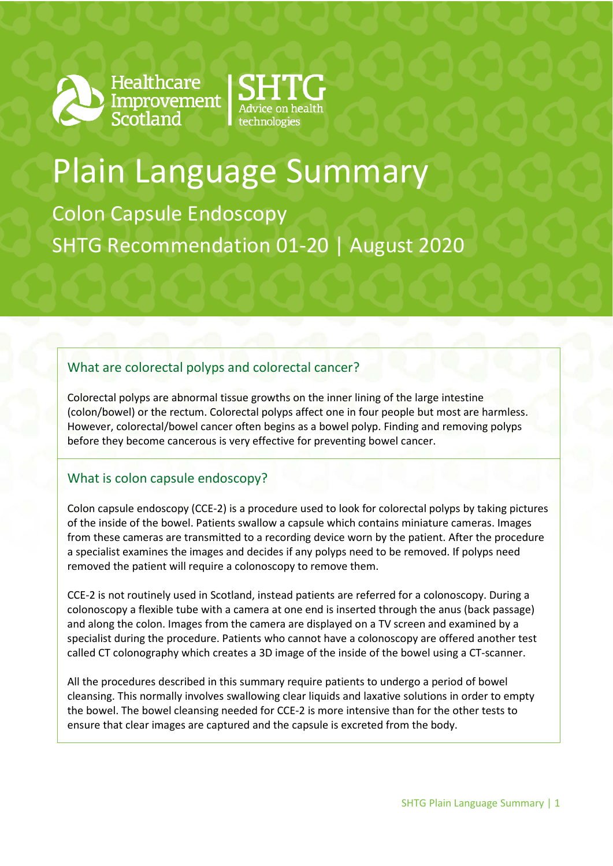

Healthcare<br>Improvement<br>Scotland



# Plain Language Summary

Colon Capsule Endoscopy SHTG Recommendation 01-20 | August 2020

## What are colorectal polyps and colorectal cancer?

Colorectal polyps are abnormal tissue growths on the inner lining of the large intestine (colon/bowel) or the rectum. Colorectal polyps affect one in four people but most are harmless. However, colorectal/bowel cancer often begins as a bowel polyp. Finding and removing polyps before they become cancerous is very effective for preventing bowel cancer.

## What is colon capsule endoscopy?

Colon capsule endoscopy (CCE-2) is a procedure used to look for colorectal polyps by taking pictures of the inside of the bowel. Patients swallow a capsule which contains miniature cameras. Images from these cameras are transmitted to a recording device worn by the patient. After the procedure a specialist examines the images and decides if any polyps need to be removed. If polyps need removed the patient will require a colonoscopy to remove them.

CCE-2 is not routinely used in Scotland, instead patients are referred for a colonoscopy. During a colonoscopy a flexible tube with a camera at one end is inserted through the anus (back passage) and along the colon. Images from the camera are displayed on a TV screen and examined by a specialist during the procedure. Patients who cannot have a colonoscopy are offered another test called CT colonography which creates a 3D image of the inside of the bowel using a CT-scanner.

All the procedures described in this summary require patients to undergo a period of bowel cleansing. This normally involves swallowing clear liquids and laxative solutions in order to empty the bowel. The bowel cleansing needed for CCE-2 is more intensive than for the other tests to ensure that clear images are captured and the capsule is excreted from the body.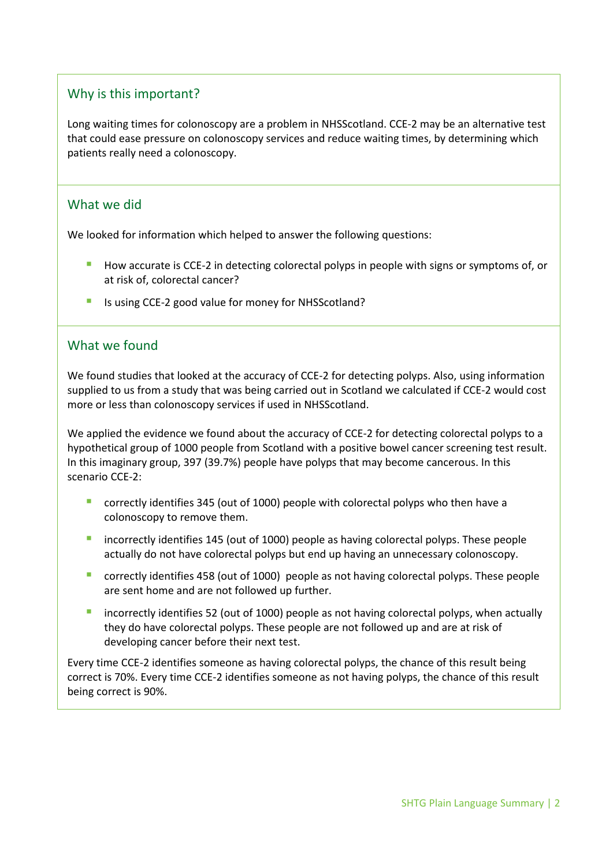## Why is this important?

Long waiting times for colonoscopy are a problem in NHSScotland. CCE-2 may be an alternative test that could ease pressure on colonoscopy services and reduce waiting times, by determining which patients really need a colonoscopy.

#### What we did

We looked for information which helped to answer the following questions:

- **How accurate is CCE-2 in detecting colorectal polyps in people with signs or symptoms of, or** at risk of, colorectal cancer?
- Is using CCE-2 good value for money for NHSScotland?

#### What we found

We found studies that looked at the accuracy of CCE-2 for detecting polyps. Also, using information supplied to us from a study that was being carried out in Scotland we calculated if CCE-2 would cost more or less than colonoscopy services if used in NHSScotland.

We applied the evidence we found about the accuracy of CCE-2 for detecting colorectal polyps to a hypothetical group of 1000 people from Scotland with a positive bowel cancer screening test result. In this imaginary group, 397 (39.7%) people have polyps that may become cancerous. In this scenario CCE-2:

- correctly identifies 345 (out of 1000) people with colorectal polyps who then have a colonoscopy to remove them.
- incorrectly identifies 145 (out of 1000) people as having colorectal polyps. These people actually do not have colorectal polyps but end up having an unnecessary colonoscopy.
- correctly identifies 458 (out of 1000) people as not having colorectal polyps. These people are sent home and are not followed up further.
- incorrectly identifies 52 (out of 1000) people as not having colorectal polyps, when actually they do have colorectal polyps. These people are not followed up and are at risk of developing cancer before their next test.

Every time CCE-2 identifies someone as having colorectal polyps, the chance of this result being correct is 70%. Every time CCE-2 identifies someone as not having polyps, the chance of this result being correct is 90%.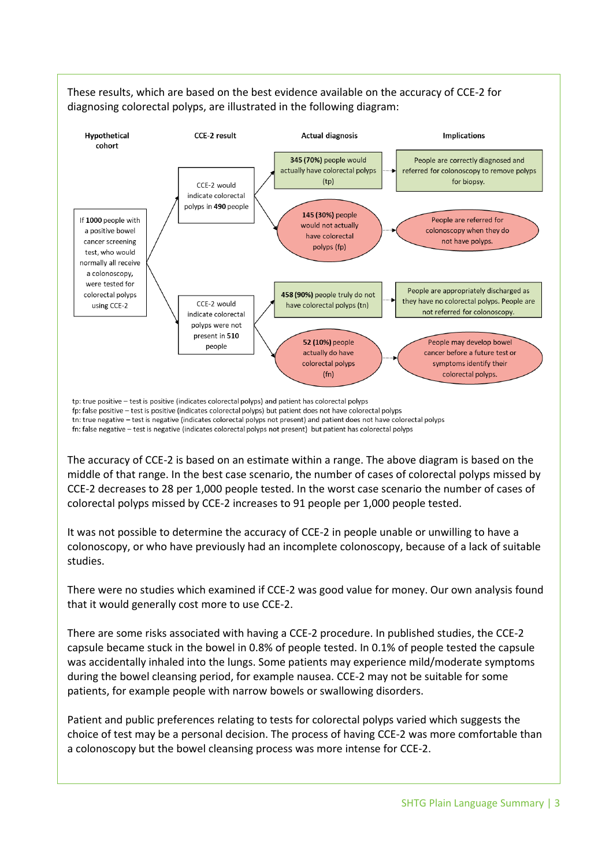

These results, which are based on the best evidence available on the accuracy of CCE-2 for diagnosing colorectal polyps, are illustrated in the following diagram:

fp: false positive - test is positive (indicates colorectal polyps) but patient does not have colorectal polyps tn: true negative - test is negative (indicates colorectal polyps not present) and patient does not have colorectal polyps fn: false negative - test is negative (indicates colorectal polyps not present) but patient has colorectal polyps

The accuracy of CCE-2 is based on an estimate within a range. The above diagram is based on the middle of that range. In the best case scenario, the number of cases of colorectal polyps missed by CCE-2 decreases to 28 per 1,000 people tested. In the worst case scenario the number of cases of colorectal polyps missed by CCE-2 increases to 91 people per 1,000 people tested.

It was not possible to determine the accuracy of CCE-2 in people unable or unwilling to have a colonoscopy, or who have previously had an incomplete colonoscopy, because of a lack of suitable studies.

There were no studies which examined if CCE-2 was good value for money. Our own analysis found that it would generally cost more to use CCE-2.

There are some risks associated with having a CCE-2 procedure. In published studies, the CCE-2 capsule became stuck in the bowel in 0.8% of people tested. In 0.1% of people tested the capsule was accidentally inhaled into the lungs. Some patients may experience mild/moderate symptoms during the bowel cleansing period, for example nausea. CCE-2 may not be suitable for some patients, for example people with narrow bowels or swallowing disorders.

Patient and public preferences relating to tests for colorectal polyps varied which suggests the choice of test may be a personal decision. The process of having CCE-2 was more comfortable than a colonoscopy but the bowel cleansing process was more intense for CCE-2.